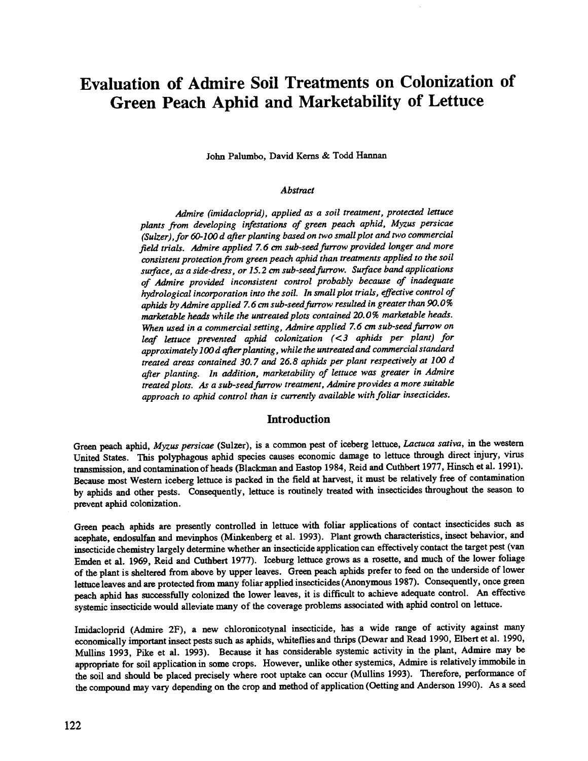# Evaluation of Admire Soil Treatments on Colonization of Green Peach Aphid and Marketability of Lettuce

John Palumbo, David Kerns & Todd Hannan

#### **Abstract**

Admire (imidacloprid), applied as a soil treatment, protected lettuce plants from developing infestations of green peach aphid, Myzus persicae (Sulzer), for 60 -100 d after planting based on two small plot and two commercial field trials. Admire applied 7.6 an sub -seed furrow provided longer and more consistent protection from green peach aphid than treatments applied to the soil surface, as a side-dress, or 15.2 cm sub-seed furrow. Surface band applications of Admire provided inconsistent control probably because of inadequate hydrological incorporation into the soil. In small plot trials, effective control of aphids by Admire applied 7.6 cm sub-seed furrow resulted in greater than 90.0% marketable heads while the untreated plots contained 20.0% marketable heads. When used in a commercial setting, Admire applied 7.6 cm sub-seed furrow on leaf lettuce prevented aphid colonization (<3 aphids per plant) for approximately 100 d after planting, while the untreated and commercial standard treated areas contained 30.7 and 26.8 aphids per plant respectively at 100 d after planting. In addition, marketability of lettuce was greater in Admire treated plots. As a sub -seed furrow treatment, Admire provides a more suitable approach to aphid control than is currently available with foliar insecticides.

# **Introduction**

Green peach aphid, Myzus persicae (Sulzer), is a common pest of iceberg lettuce, Lactuca sativa, in the western United States. This polyphagous aphid species causes economic damage to lettuce through direct injury, virus transmission, and contamination of heads (Blackman and Eastop 1984, Reid and Cuthbert 1977, Hinsch et al. 1991). Because most Western iceberg lettuce is packed in the field at harvest, it must be relatively free of contamination by aphids and other pests. Consequently, lettuce is routinely treated with insecticides throughout the season to prevent aphid colonization.

Green peach aphids are presently controlled in lettuce with foliar applications of contact insecticides such as acephate, endosulfan and mevinphos (Minkenberg et al. 1993). Plant growth characteristics, insect behavior, and insecticide chemistry largely determine whether an insecticide application can effectively contact the target pest (van Emden et al. 1969, Reid and Cuthbert 1977). Iceburg lettuce grows as a rosette, and much of the lower foliage of the plant is sheltered from above by upper leaves. Green peach aphids prefer to feed on the underside of lower lettuce leaves and are protected from many foliar applied insecticides (Anonymous 1987). Consequently, once green peach aphid has successfully colonized the lower leaves, it is difficult to achieve adequate control. An effective systemic insecticide would alleviate many of the coverage problems associated with aphid control on lettuce.

Imidacloprid (Admire 2F), a new chloronicotynal insecticide, has a wide range of activity against many economically important insect pests such as aphids, whiteflies and thrips (Dewar and Read 1990, Elbert et al. 1990, Mullins 1993, Pike et al. 1993). Because it has considerable systemic activity in the plant, Admire may be appropriate for soil application in some crops. However, unlike other systemics, Admire is relatively immobile in the soil and should be placed precisely where root uptake can occur (Mullins 1993). Therefore, performance of the compound may vary depending on the crop and method of application (Getting and Anderson 1990). As a seed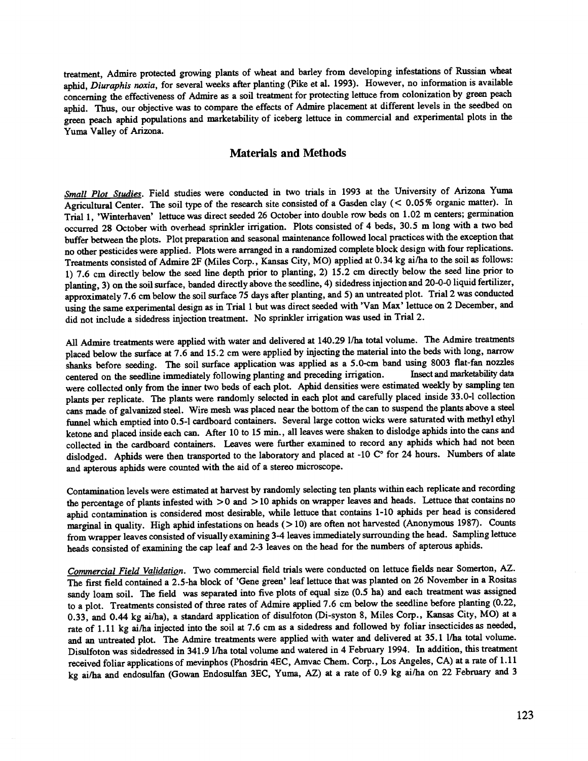treatment, Admire protected growing plants of wheat and barley from developing infestations of Russian wheat aphid, Diuraphis noxia, for several weeks after planting (Pike et al. 1993). However, no information is available concerning the effectiveness of Admire as a soil treatment for protecting lettuce from colonization by green peach aphid. Thus, our objective was to compare the effects of Admire placement at different levels in the seedbed on green peach aphid populations and marketability of iceberg lettuce in commercial and experimental plots in the Yuma Valley of Arizona.

# Materials and Methods

Small Plot Studies. Field studies were conducted in two trials in 1993 at the University of Arizona Yuma Agricultural Center. The soil type of the research site consisted of a Gasden clay (< 0.05% organic matter). In Trial 1, 'Winterhaven' lettuce was direct seeded 26 October into double rowbeds on 1.02 m centers; germination occurred 28 October with overhead sprinkler irrigation. Plots consisted of 4 beds, 30.5 m long with a two bed buffer between the plots. Plot preparation and seasonal maintenance followed local practices with the exception that no other pesticides were applied. Plots were arranged in a randomized complete block design with four replications. Treatments consisted of Admire 2F (Miles Corp., Kansas City, MO) applied at 0.34 kg ai/ha to the soil as follows: 1) 7.6 cm directly below the seed line depth prior to planting, 2) 15.2 cm directly below the seed line prior to planting, 3) on the soil surface, banded directly above the seedline, 4) sidedress injection and 20 -0-0 liquid fertilizer, approximately 7.6 cm below the soil surface 75 days after planting, and 5) an untreated plot. Trial 2 was conducted using the same experimental design as in Trial 1 but was direct seeded with 'Van Max' lettuce on 2 December, and did not include a sidedress injection treatment. No sprinkler irrigation was used in Trial 2.

All Admire treatments were applied with water and delivered at 140.29 1/ha total volume. The Admire treatments placed below the surface at 7.6 and 15.2 cm were applied by injecting the material into the beds with long, narrow shanks before seeding. The soil surface application was applied as a 5.0-cm band using 8003 flat-fan nozzles centered on the seedline immediately following planting and preceding irrigation. Insect and marketability data centered on the seedline immediately following planting and preceding irrigation. were collected only from the inner two beds of each plot. Aphid densities were estimated weekly by sampling ten plants per replicate. The plants were randomly selected in each plot and carefully placed inside 33.0 -1 collection cans made of galvanized steel. Wire mesh was placed near the bottom of the can to suspend the plants above a steel funnel which emptied into 0.5 -1 cardboard containers. Several large cotton wicks were saturated with methyl ethyl ketone and placed inside each can. After 10 to 15 min., all leaves were shaken to dislodge aphids into the cans and collected in the cardboard containers. Leaves were further examined to record any aphids which had not been dislodged. Aphids were then transported to the laboratory and placed at -10 C° for 24 hours. Numbers of alate and apterous aphids were counted with the aid of a stereo microscope.

Contamination levels were estimated at harvest by randomly selecting ten plants within each replicate and recording the percentage of plants infested with  $> 0$  and  $> 10$  aphids on wrapper leaves and heads. Lettuce that contains no aphid contamination is considered most desirable, while lettuce that contains 1 -10 aphids per head is considered marginal in quality. High aphid infestations on heads (>10) are often not harvested (Anonymous 1987). Counts from wrapper leaves consisted of visually examining 3-4 leaves immediately surrounding the head. Sampling lettuce heads consisted of examining the cap leaf and 2-3 leaves on the head for the numbers of apterous aphids.

Commercial Field Validation. Two commercial field trials were conducted on lettuce fields near Somerton, AZ. The first field contained a 2.5 -ha block of 'Gene green' leaf lettuce that was planted on 26 November in a Rositas sandy loam soil. The field was separated into five plots of equal size (0.5 ha) and each treatment was assigned to a plot. Treatments consisted of three rates of Admire applied 7.6 cm below the seedline before planting (0.22, 0.33, and 0.44 kg ai/ha), a standard application of disulfoton (Di-syston 8, Miles Corp., Kansas City, MO) at a rate of 1.11 kg ai/ha injected into the soil at 7.6 cm as a sidedress and followed by foliar insecticides as needed, and an untreated plot. The Admire treatments were applied with water and delivered at 35.1 1/ha total volume. Disulfoton was sidedressed in 341.9 1/ha total volume and watered in 4 February 1994. In addition, this treatment received foliar applications of mevinphos (Phosdrin 4EC, Amvac Chem. Corp., Los Angeles, CA) at a rate of 1.11 kg ai/ha and endosulfan (Gowan Endosulfan 3EC, Yuma, AZ) at a rate of 0.9 kg ai/ha on 22 February and 3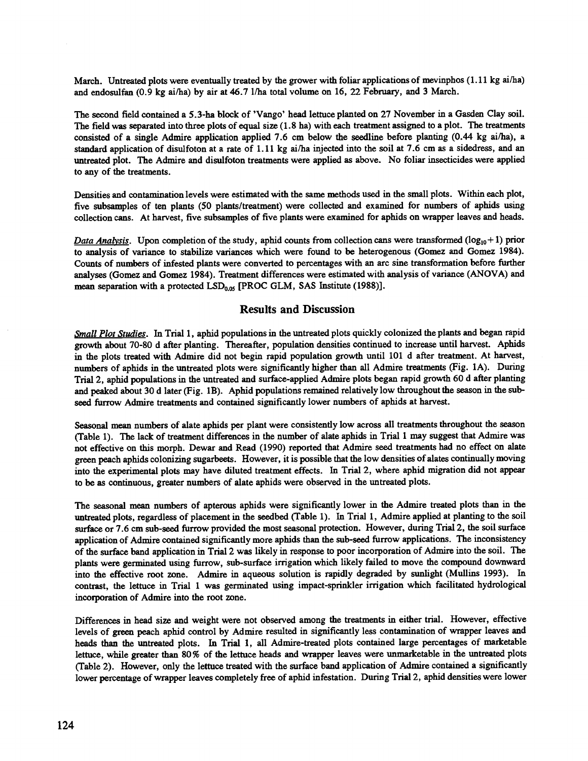March. Untreated plots were eventually treated by the grower with foliar applications of mevinphos (1.11 kg ai/ha) and endosulfan (0.9 kg ai/ha) by air at 46.7 1/ha total volume on 16, 22 February, and 3 March.

The second field contained a 5.3 -ha block of 'Vango' head lettuce planted on 27 November in a Gasden Clay soil. The field was separated into three plots of equal size (1.8 ha) with each treatment assigned to a plot. The treatments consisted of a single Admire application applied 7.6 cm below the seedline before planting (0.44 kg ai/ha), a standard application of disulfoton at a rate of 1.11 kg ai/ha injected into the soil at 7.6 cm as a sidedress, and an untreated plot. The Admire and disulfoton treatments were applied as above. No foliar insecticides were applied to any of the treatments.

Densities and contamination levels were estimated with the same methods used in the small plots. Within each plot, five subsamples of ten plants (50 plants/treatment) were collected and examined for numbers of aphids using collection cans. At harvest, five subsamples of five plants were examined for aphids on wrapper leaves and heads.

Data Analysis. Upon completion of the study, aphid counts from collection cans were transformed ( $log_{10}+1$ ) prior to analysis of variance to stabilize variances which were found to be heterogenous (Gomez and Gomez 1984). Counts of numbers of infested plants were converted to percentages with an arc sine transformation before further analyses (Gomez and Gomez 1984). Treatment differences were estimated with analysis of variance (ANOVA) and mean separation with a protected  $LSD_{0.05}$  [PROC GLM, SAS Institute (1988)].

# Results and Discussion

Small Plot Studies. In Trial 1, aphid populations in the untreated plots quickly colonized the plants and began rapid growth about 70 -80 d after planting. Thereafter, population densities continued to increase until harvest. Aphids in the plots treated with Admire did not begin rapid population growth until 101 d after treatment. At harvest, numbers of aphids in the untreated plots were significantly higher than all Admire treatments (Fig. 1A). During Trial 2, aphid populations in the untreated and surface-applied Admire plots began rapid growth 60 d after planting and peaked about 30 d later (Fig. 1B). Aphid populations remained relatively low throughout the season in the subseed furrow Admire treatments and contained significantly lower numbers of aphids at harvest.

Seasonal mean numbers of alate aphids per plant were consistently low across all treatments throughout the season (Table 1). The lack of treatment differences in the number of alate aphids in Trial 1 may suggest that Admire was not effective on this morph. Dewar and Read (1990) reported that Admire seed treatments had no effect on alate green peach aphids colonizing sugarbeets. However, it is possible that the low densities of alates continually moving into the experimental plots may have diluted treatment effects. In Trial 2, where aphid migration did not appear to be as continuous, greater numbers of alate aphids were observed in the untreated plots.

The seasonal mean numbers of apterous aphids were significantly lower in the Admire treated plots than in the untreated plots, regardless of placement in the seedbed (Table 1). In Trial 1, Admire applied at planting to the soil surface or 7.6 cm sub -seed furrow provided the most seasonal protection. However, during Trial 2, the soil surface application of Admire contained significantly more aphids than the sub -seed furrow applications. The inconsistency of the surface band application in Trial 2 was likely in response to poor incorporation of Admire into the soil. The plants were germinated using furrow, sub -surface irrigation which likely failed to move the compound downward into the effective root zone. Admire in aqueous solution is rapidly degraded by sunlight (Mullins 1993). In contrast, the lettuce in Trial 1 was germinated using impact -sprinkler irrigation which facilitated hydrological incorporation of Admire into the root zone.

Differences in head size and weight were not observed among the treatments in either trial. However, effective levels of green peach aphid control by Admire resulted in significantly less contamination of wrapper leaves and heads than the untreated plots. In Trial 1, all Admire -treated plots contained large percentages of marketable lettuce, while greater than 80% of the lettuce heads and wrapper leaves were unmarketable in the untreated plots (Table 2). However, only the lettuce treated with the surface band application of Admire contained a significantly lower percentage of wrapper leaves completely free of aphid infestation. During Trial 2, aphid densities were lower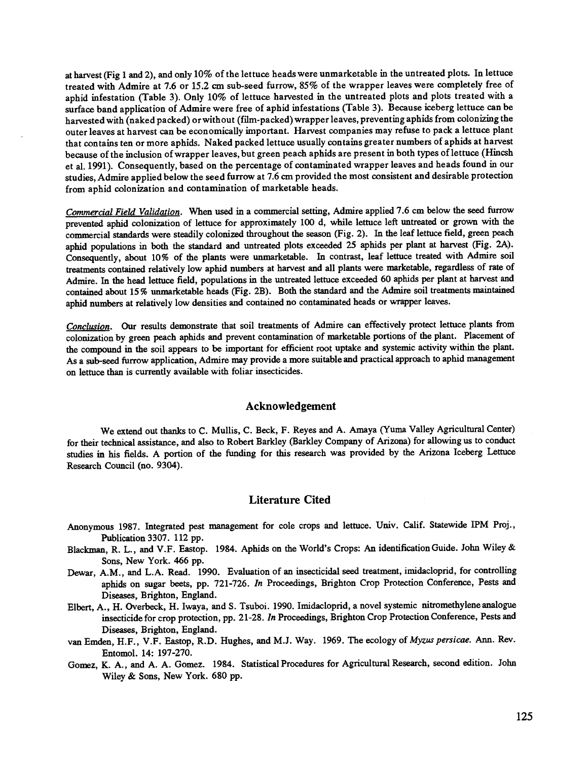at harvest (Fig 1 and 2), and only 10% of the lettuce heads were unmarketable in the untreated plots. In lettuce treated with Admire at 7.6 or 15.2 cm sub -seed furrow, 85% of the wrapper leaves were completely free of aphid infestation (Table 3). Only 10% of lettuce harvested in the untreated plots and plots treated with a surface band application of Admire were free of aphid infestations (Table 3). Because iceberg lettuce can be harvested with (naked packed) or without (film-packed) wrapper leaves, preventing aphids from colonizing the outer leaves at harvest can be economically important. Harvest companies may refuse to pack a lettuce plant that contains ten or more aphids. Naked packed lettuce usually contains greater numbers of aphids at harvest because of the inclusion of wrapper leaves, but green peach aphids are present in both types of lettuce (Hincsh et al. 1991). Consequently, based on the percentage of contaminated wrapper leaves and heads found in our studies, Admire applied below the seed furrow at 7.6 cm provided the most consistent and desirable protection from aphid colonization and contamination of marketable heads.

Commercial Field Validation. When used in a commercial setting, Admire applied 7.6 cm below the seed furrow prevented aphid colonization of lettuce for approximately 100 d, while lettuce left untreated or grown with the commercial standards were steadily colonized throughout the season (Fig. 2). In the leaf lettuce field, green peach aphid populations in both the standard and untreated plots exceeded 25 aphids per plant at harvest (Fig. 2A). Consequently, about 10% of the plants were unmarketable. In contrast, leaf lettuce treated with Admire soil treatments contained relatively low aphid numbers at harvest and all plants were marketable, regardless of rate of Admire. In the head lettuce field, populations in the untreated lettuce exceeded 60 aphids per plant at harvest and contained about 15 % unmarketable heads (Fig. 2B). Both the standard and the Admire soil treatments maintained aphid numbers at relatively low densities and contained no contaminated heads or wrapper leaves.

Conclusion. Our results demonstrate that soil treatments of Admire can effectively protect lettuce plants from colonization by green peach aphids and prevent contamination of marketable portions of the plant. Placement of the compound in the soil appears to be important for efficient root uptake and systemic activity within the plant. As a sub -seed furrow application, Admire may provide a more suitable and practical approach to aphid management on lettuce than is currently available with foliar insecticides.

### Acknowledgement

We extend out thanks to C. Mullis, C. Beck, F. Reyes and A. Amaya (Yuma Valley Agricultural Center) for their technical assistance, and also to Robert Barkley (Barkley Company of Arizona) for allowing us to conduct studies in his fields. A portion of the funding for this research was provided by the Arizona Iceberg Lettuce Research Council (no. 9304).

# Literature Cited

- Anonymous 1987. Integrated pest management for cole crops and lettuce. Univ. Calif. Statewide IPM Proj., Publication 3307. 112 pp.
- Blackman, R. L., and V.F. Eastop. 1984. Aphids on the World's Crops: An identification Guide. John Wiley & Sons, New York. 466 pp.
- Dewar, A.M., and L.A. Read. 1990. Evaluation of an insecticidal seed treatment, imidacloprid, for controlling aphids on sugar beets, pp. 721-726. In Proceedings, Brighton Crop Protection Conference, Pests and Diseases, Brighton, England.
- Elbert, A., H. Overbeck, H. Iwaya, and S. Tsuboi. 1990. Imidacloprid, a novel systemic nitromethylene analogue insecticide for crop protection, pp. 21 -28. In Proceedings, Brighton Crop Protection Conference, Pests and Diseases, Brighton, England.
- van Emden, H.F., V.F. Eastop, R.D. Hughes, and M.J. Way. 1969. The ecology of Myzus persicae. Ann. Rev. Entomol. 14: 197 -270.
- Gomez, K. A., and A. A. Gomez. 1984. Statistical Procedures for Agricultural Research, second edition. John Wiley & Sons, New York. 680 pp.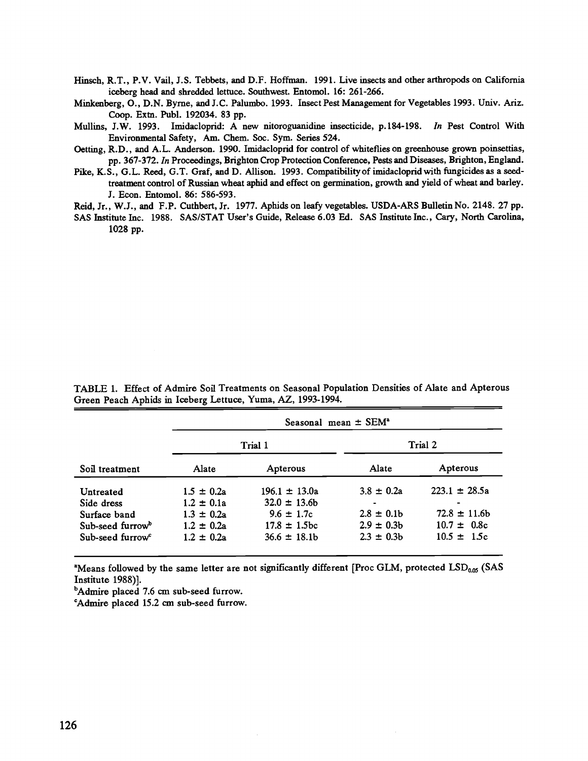Hinsch, R.T., P.V. Vail, J.S. Tebbets, and D.F. Hoffman. 1991. Live insects and other arthropods on California iceberg head and shredded lettuce. Southwest. Entomol. 16: 261 -266.

Minkenberg, O., D.N. Byrne, and J.C. Palumbo. 1993. Insect Pest Management for Vegetables 1993. Univ. Ariz. Coop. Extn. Publ. 192034. 83 pp.

Mullins, J.W. 1993. Imidacloprid: A new nitoroguanidine insecticide, p.184-198. In Pest Control With Environmental Safety, Am. Chem. Soc. Sym. Series 524.

Oetting, R.D., and A.L. Anderson. 1990. Imidacloprid for control of whiteflies on greenhouse grown poinsettias, pp. 367 -372. In Proceedings, Brighton Crop Protection Conference, Pests and Diseases, Brighton, England.

Pike, K.S., G.L. Reed, G.T. Graf, and D. Allison. 1993. Compatibility of imidacloprid with fungicides as a seedtreatment control of Russian wheat aphid and effect on germination, growth and yield of wheat and barley. J. Econ. Entomol. 86: 586 -593.

Reid, Jr., W.J., and F.P. Cuthbert, Jr. 1977. Aphids on leafy vegetables. USDA -ARS Bulletin No. 2148. 27 pp.

SAS Institute Inc. 1988. SAS/STAT User's Guide, Release 6.03 Ed. SAS Institute Inc., Cary, North Carolina, 1028 pp.

Soil treatment Seasonal mean  $\pm$  SEM<sup>a</sup> Trial 1 Trial 2 Alate Apterous Alate Apterous Untreated 1.5  $\pm$  0.2a 196.1  $\pm$  13.0a 3.8  $\pm$  0.2a 223.1  $\pm$  28.5a Side dress  $1.2 \pm 0.1$ a  $32.0 \pm 13.6$ b -<br>Surface band  $1.3 \pm 0.2$ a  $9.6 \pm 1.7$ c  $2.8 \pm 0.1$ b Surface band  $1.3 \pm 0.2$ a  $9.6 \pm 1.7$ c  $2.8 \pm 0.1$ b  $72.8 \pm 11.6$ b Sub-seed furrow<sup>b</sup> 1.2  $\pm$  0.2a 17.8  $\pm$  1.5bc 2.9  $\pm$  0.3b 10.7  $\pm$  0.8c Sub-seed furrow<sup>c</sup> 1.2  $\pm$  0.2a 36.6  $\pm$  18.1b 2.3  $\pm$  0.3b 10.5  $\pm$  1.5c

TABLE 1. Effect of Admire Soil Treatments on Seasonal Population Densities of Alate and Apterous Green Peach Aphids in Iceberg Lettuce, Yuma, AZ, 1993 -1994.

"Means followed by the same letter are not significantly different [Proc GLM, protected LSD<sub>0.05</sub> (SAS Institute 1988)].

<sup>b</sup>Admire placed 7.6 cm sub-seed furrow.

`Admire placed 15.2 cm sub -seed furrow.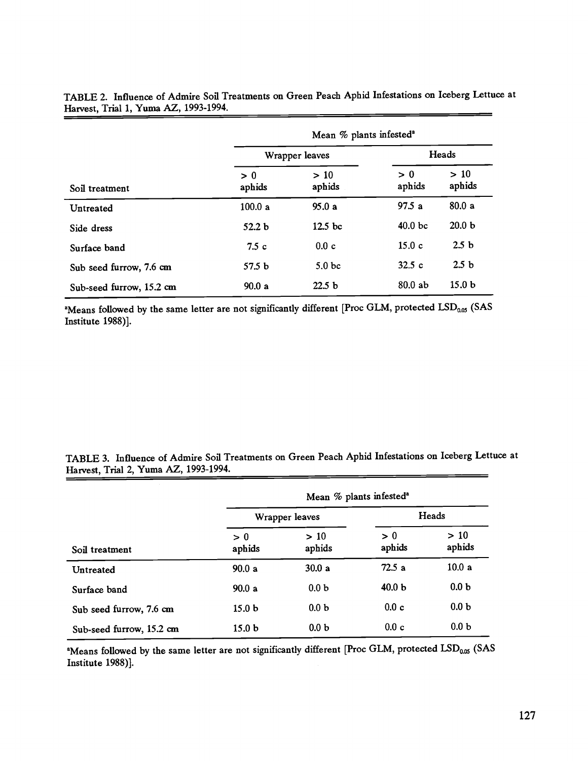| Soil treatment           | Mean % plants infested <sup>a</sup> |                    |                    |                   |
|--------------------------|-------------------------------------|--------------------|--------------------|-------------------|
|                          | Wrapper leaves                      |                    | Heads              |                   |
|                          | > 0<br>aphids                       | >10<br>aphids      | > 0<br>aphids      | >10<br>aphids     |
| Untreated                | 100.0a                              | 95.0a              | 97.5a              | 80.0a             |
| Side dress               | 52.2 <sub>b</sub>                   | 12.5 <sub>bc</sub> | 40.0 <sub>bc</sub> | 20.0 <sub>b</sub> |
| Surface band             | 7.5c                                | 0.0c               | 15.0c              | 2.5 <sub>b</sub>  |
| Sub seed furrow, 7.6 cm  | 57.5 <sub>b</sub>                   | 5.0 <sub>bc</sub>  | 32.5c              | 2.5 <sub>b</sub>  |
| Sub-seed furrow, 15.2 cm | 90.0a                               | 22.5 <sub>b</sub>  | 80.0ab             | 15.0 <sub>b</sub> |

TABLE 2. Influence of Admire Soil Treatments on Green Peach Aphid Infestations on Iceberg Lettuce at Harvest, Trial 1, Yuma AZ, 1993-1994.

<sup>a</sup>Means followed by the same letter are not significantly different [Proc GLM, protected LSD<sub>0.05</sub> (SAS Institute 1988)].

TABLE 3. Influence of Admire Soil Treatments on Green Peach Aphid Infestations on Iceberg Lettuce at Harvest, Trial 2, Yuma AZ, 1993-1994.

| Soil treatment           | Mean % plants infested <sup>a</sup> |                  |                   |                  |  |
|--------------------------|-------------------------------------|------------------|-------------------|------------------|--|
|                          | Wrapper leaves                      |                  | Heads             |                  |  |
|                          | > 0<br>aphids                       | >10<br>aphids    | > 0<br>aphids     | $>10$<br>aphids  |  |
| Untreated                | 90.0a                               | 30.0a            | 72.5a             | 10.0a            |  |
| Surface band             | 90.0a                               | 0.0 <sub>b</sub> | 40.0 <sub>b</sub> | 0.0 <sub>b</sub> |  |
| Sub seed furrow, 7.6 cm  | 15.0 <sub>b</sub>                   | 0.0 <sub>b</sub> | 0.0 c             | 0.0 <sub>b</sub> |  |
| Sub-seed furrow, 15.2 cm | 15.0 <sub>b</sub>                   | 0.0 <sub>b</sub> | 0.0c              | 0.0 <sub>b</sub> |  |

<sup>a</sup>Means followed by the same letter are not significantly different [Proc GLM, protected LSD<sub>0.05</sub> (SAS Institute 1988)].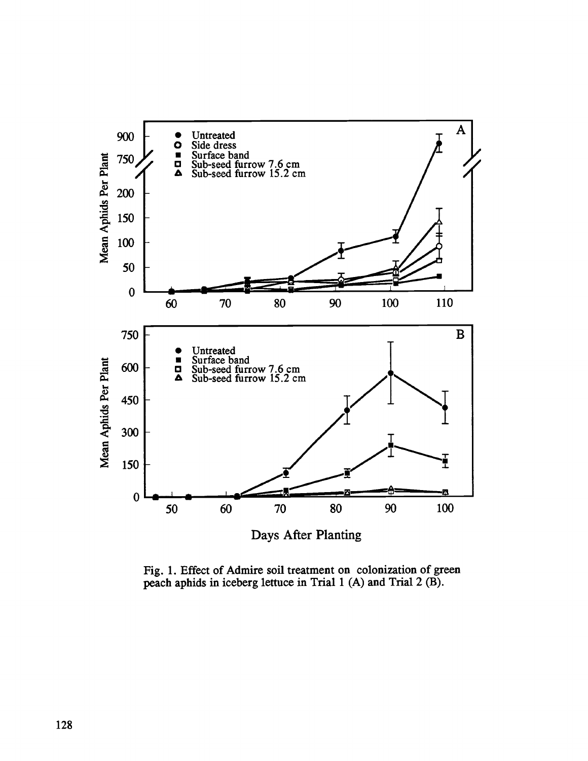

Fig. 1. Effect of Admire soil treatment on colonization of green peach aphids in iceberg lettuce in Trial 1 (A) and Trial 2 (B).